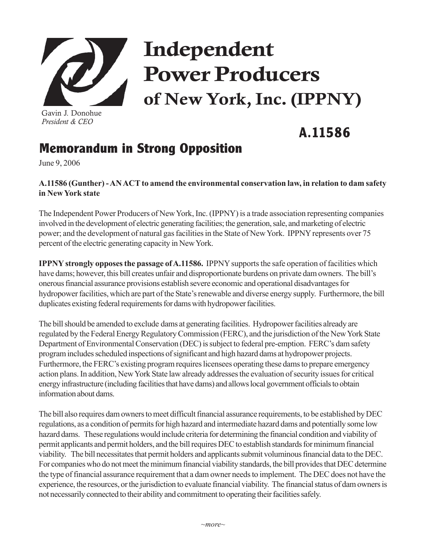

Gavin J. Donohue *President & CEO*

## Independent Power Producers of New York, Inc. (IPPNY)

## **A.11586**

## **Memorandum in Strong Opposition**

June 9, 2006

**A.11586 (Gunther) - AN ACT to amend the environmental conservation law, in relation to dam safety in New York state**

The Independent Power Producers of New York, Inc. (IPPNY) is a trade association representing companies involved in the development of electric generating facilities; the generation, sale, and marketing of electric power; and the development of natural gas facilities in the State of New York. IPPNY represents over 75 percent of the electric generating capacity in New York.

**IPPNY strongly opposes the passage of A.11586.** IPPNY supports the safe operation of facilities which have dams; however, this bill creates unfair and disproportionate burdens on private dam owners. The bill's onerous financial assurance provisions establish severe economic and operational disadvantages for hydropower facilities, which are part of the State's renewable and diverse energy supply. Furthermore, the bill duplicates existing federal requirements for dams with hydropower facilities.

The bill should be amended to exclude dams at generating facilities. Hydropower facilities already are regulated by the Federal Energy Regulatory Commission (FERC), and the jurisdiction of the New York State Department of Environmental Conservation (DEC) is subject to federal pre-emption. FERC's dam safety program includes scheduled inspections of significant and high hazard dams at hydropower projects. Furthermore, the FERC's existing program requires licensees operating these dams to prepare emergency action plans. In addition, New York State law already addresses the evaluation of security issues for critical energy infrastructure (including facilities that have dams) and allows local government officials to obtain information about dams.

The bill also requires dam owners to meet difficult financial assurance requirements, to be established by DEC regulations, as a condition of permits for high hazard and intermediate hazard dams and potentially some low hazard dams. These regulations would include criteria for determining the financial condition and viability of permit applicants and permit holders, and the bill requires DEC to establish standards for minimum financial viability. The bill necessitates that permit holders and applicants submit voluminous financial data to the DEC. For companies who do not meet the minimum financial viability standards, the bill provides that DEC determine the type of financial assurance requirement that a dam owner needs to implement. The DEC does not have the experience, the resources, or the jurisdiction to evaluate financial viability. The financial status of dam owners is not necessarily connected to their ability and commitment to operating their facilities safely.